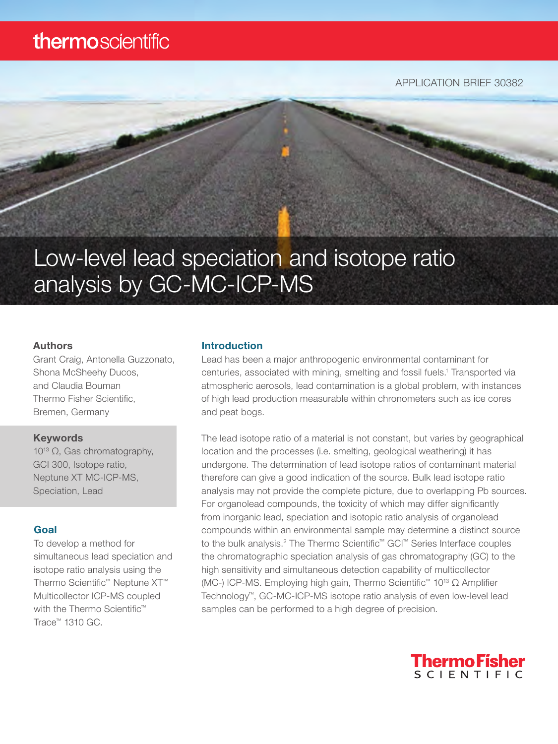## thermoscientific

APPLICATION BRIEF 30382

# Low-level lead speciation and isotope ratio analysis by GC-MC-ICP-MS

#### Authors

Grant Craig, Antonella Guzzonato, Shona McSheehy Ducos, and Claudia Bouman Thermo Fisher Scientific, Bremen, Germany

#### Keywords

1013 Ω, Gas chromatography, GCI 300, Isotope ratio, Neptune XT MC-ICP-MS, Speciation, Lead

#### Goal

To develop a method for simultaneous lead speciation and isotope ratio analysis using the Thermo Scientific™ Neptune XT™ Multicollector ICP-MS coupled with the Thermo Scientific<sup>™</sup> Trace™ 1310 GC.

#### Introduction

Lead has been a major anthropogenic environmental contaminant for centuries, associated with mining, smelting and fossil fuels.<sup>1</sup> Transported via atmospheric aerosols, lead contamination is a global problem, with instances of high lead production measurable within chronometers such as ice cores and peat bogs.

The lead isotope ratio of a material is not constant, but varies by geographical location and the processes (i.e. smelting, geological weathering) it has undergone. The determination of lead isotope ratios of contaminant material therefore can give a good indication of the source. Bulk lead isotope ratio analysis may not provide the complete picture, due to overlapping Pb sources. For organolead compounds, the toxicity of which may differ significantly from inorganic lead, speciation and isotopic ratio analysis of organolead compounds within an environmental sample may determine a distinct source to the bulk analysis.<sup>2</sup> The Thermo Scientific<sup>™</sup> GCI™ Series Interface couples the chromatographic speciation analysis of gas chromatography (GC) to the high sensitivity and simultaneous detection capability of multicollector (MC-) ICP-MS. Employing high gain, Thermo Scientific™ 1013 Ω Amplifier Technology™, GC-MC-ICP-MS isotope ratio analysis of even low-level lead samples can be performed to a high degree of precision.

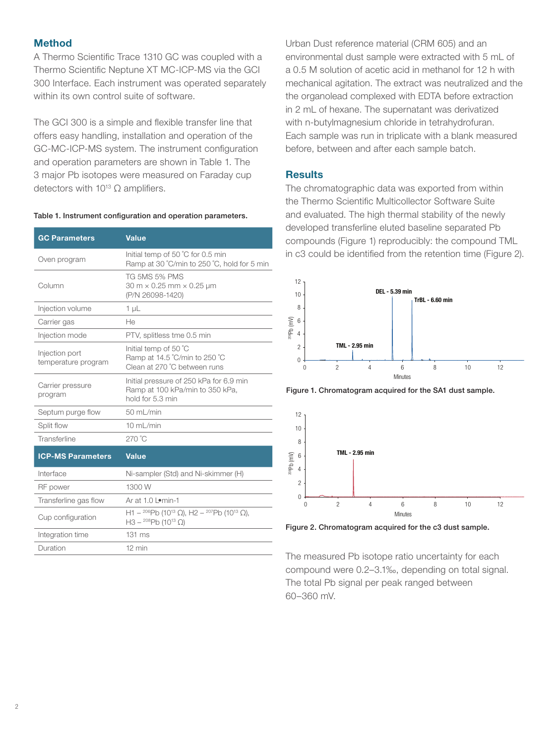#### **Method**

A Thermo Scientific Trace 1310 GC was coupled with a Thermo Scientific Neptune XT MC-ICP-MS via the GCI 300 Interface. Each instrument was operated separately within its own control suite of software.

The GCI 300 is a simple and flexible transfer line that offers easy handling, installation and operation of the GC-MC-ICP-MS system. The instrument configuration and operation parameters are shown in Table 1. The 3 major Pb isotopes were measured on Faraday cup detectors with  $10^{13}$   $\Omega$  amplifiers.

#### Table 1. Instrument configuration and operation parameters.

| <b>GC Parameters</b>                  | <b>Value</b>                                                                                                             |  |  |
|---------------------------------------|--------------------------------------------------------------------------------------------------------------------------|--|--|
| Oven program                          | Initial temp of 50 °C for 0.5 min<br>Ramp at 30 °C/min to 250 °C, hold for 5 min                                         |  |  |
| Column                                | TG 5MS 5% PMS<br>$30 \text{ m} \times 0.25 \text{ mm} \times 0.25 \text{ µm}$<br>(P/N 26098-1420)                        |  |  |
| Injection volume                      | 1 <sub>µ</sub>                                                                                                           |  |  |
| Carrier gas                           | He                                                                                                                       |  |  |
| Injection mode                        | PTV, splitless tme 0.5 min                                                                                               |  |  |
| Injection port<br>temperature program | Initial temp of 50 °C<br>Ramp at 14.5 °C/min to 250 °C<br>Clean at 270 °C between runs                                   |  |  |
| Carrier pressure<br>program           | Initial pressure of 250 kPa for 6.9 min<br>Ramp at 100 kPa/min to 350 kPa,<br>hold for 5.3 min                           |  |  |
| Septum purge flow                     | 50 mL/min                                                                                                                |  |  |
| Split flow                            | $10$ mL/min                                                                                                              |  |  |
| Transferline                          | $270^{\circ}$ C                                                                                                          |  |  |
| <b>ICP-MS Parameters</b>              | <b>Value</b>                                                                                                             |  |  |
| Interface                             | Ni-sampler (Std) and Ni-skimmer (H)                                                                                      |  |  |
| RF power                              | 1300 W                                                                                                                   |  |  |
| Transferline gas flow                 | Ar at 1.0 Lomin-1                                                                                                        |  |  |
| Cup configuration                     | H1 – <sup>206</sup> Pb (10 <sup>13</sup> Ω), H2 – <sup>207</sup> Pb (10 <sup>13</sup> Ω),<br>$H3 - {^{208}}Pb(10^{13}Ω)$ |  |  |
| Integration time                      | $131 \text{ ms}$                                                                                                         |  |  |
| Duration                              | 12 min                                                                                                                   |  |  |

Urban Dust reference material (CRM 605) and an environmental dust sample were extracted with 5 mL of a 0.5 M solution of acetic acid in methanol for 12 h with mechanical agitation. The extract was neutralized and the the organolead complexed with EDTA before extraction in 2 mL of hexane. The supernatant was derivatized with n-butylmagnesium chloride in tetrahydrofuran. Each sample was run in triplicate with a blank measured before, between and after each sample batch.

#### **Results**

The chromatographic data was exported from within the Thermo Scientific Multicollector Software Suite and evaluated. The high thermal stability of the newly developed transferline eluted baseline separated Pb compounds (Figure 1) reproducibly: the compound TML in c3 could be identified from the retention time (Figure 2).



Figure 1. Chromatogram acquired for the SA1 dust sample.



Figure 2. Chromatogram acquired for the c3 dust sample.

The measured Pb isotope ratio uncertainty for each compound were 0.2–3.1‰, depending on total signal. The total Pb signal per peak ranged between 60–360 mV.